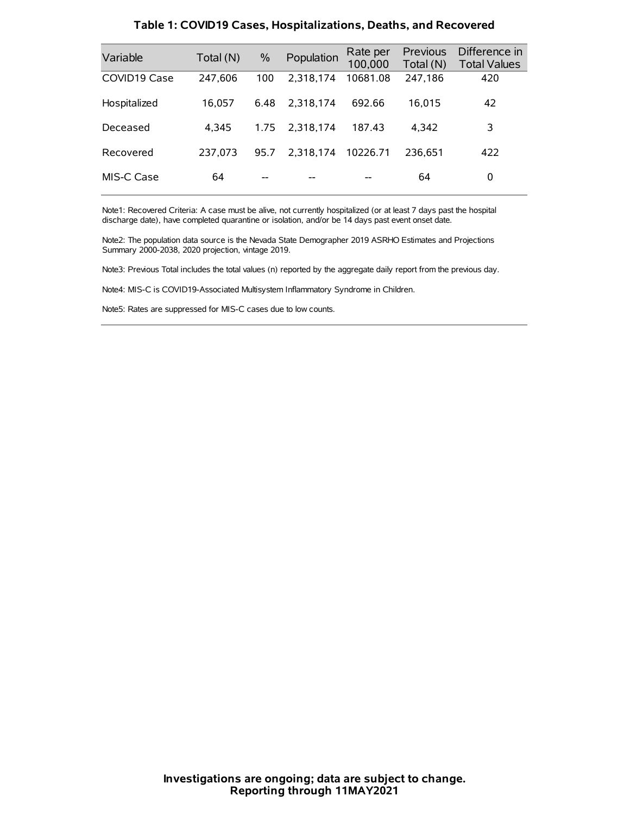| Variable     | Total (N) | $\frac{0}{0}$ | Population | Rate per<br>100,000 | Previous<br>Total (N) | Difference in<br><b>Total Values</b> |
|--------------|-----------|---------------|------------|---------------------|-----------------------|--------------------------------------|
| COVID19 Case | 247,606   | 100           | 2.318.174  | 10681.08            | 247,186               | 420                                  |
| Hospitalized | 16,057    | 6.48          | 2.318.174  | 692.66              | 16,015                | 42                                   |
| Deceased     | 4.345     | 1.75          | 2.318.174  | 187.43              | 4.342                 | 3                                    |
| Recovered    | 237.073   | 95.7          | 2.318.174  | 10226.71            | 236.651               | 422                                  |
| MIS-C Case   | 64        | --            |            |                     | 64                    | 0                                    |

#### **Table 1: COVID19 Cases, Hospitalizations, Deaths, and Recovered**

Note1: Recovered Criteria: A case must be alive, not currently hospitalized (or at least 7 days past the hospital discharge date), have completed quarantine or isolation, and/or be 14 days past event onset date.

Note2: The population data source is the Nevada State Demographer 2019 ASRHO Estimates and Projections Summary 2000-2038, 2020 projection, vintage 2019.

Note3: Previous Total includes the total values (n) reported by the aggregate daily report from the previous day.

Note4: MIS-C is COVID19-Associated Multisystem Inflammatory Syndrome in Children.

Note5: Rates are suppressed for MIS-C cases due to low counts.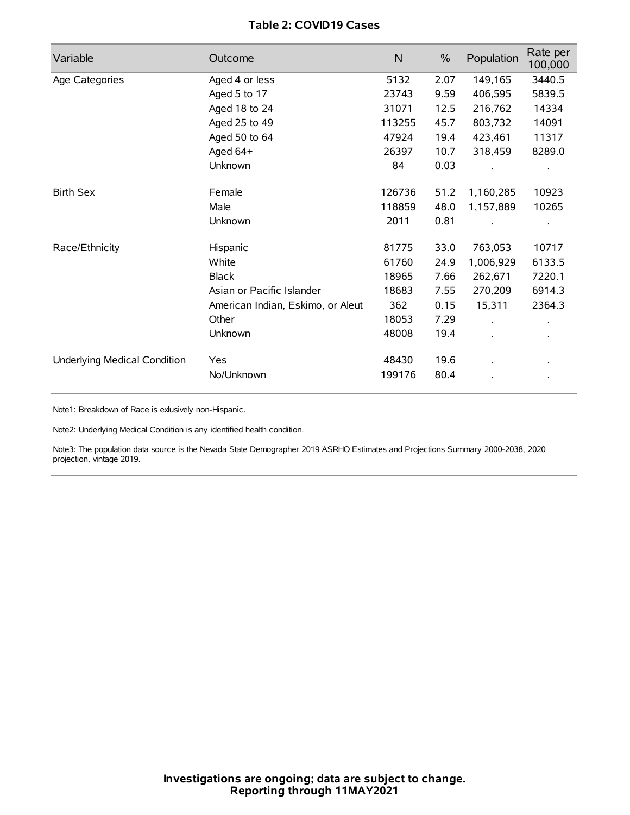## **Table 2: COVID19 Cases**

| Variable                     | Outcome                           | $\mathsf{N}$ | $\%$ | Population | Rate per<br>100,000 |
|------------------------------|-----------------------------------|--------------|------|------------|---------------------|
| Age Categories               | Aged 4 or less                    | 5132         | 2.07 | 149,165    | 3440.5              |
|                              | Aged 5 to 17                      | 23743        | 9.59 | 406,595    | 5839.5              |
|                              | Aged 18 to 24                     | 31071        | 12.5 | 216,762    | 14334               |
|                              | Aged 25 to 49                     | 113255       | 45.7 | 803,732    | 14091               |
|                              | Aged 50 to 64                     | 47924        | 19.4 | 423,461    | 11317               |
|                              | Aged 64+                          | 26397        | 10.7 | 318,459    | 8289.0              |
|                              | Unknown                           | 84           | 0.03 |            |                     |
| <b>Birth Sex</b>             | Female                            | 126736       | 51.2 | 1,160,285  | 10923               |
|                              | Male                              | 118859       | 48.0 | 1,157,889  | 10265               |
|                              | Unknown                           | 2011         | 0.81 |            |                     |
| Race/Ethnicity               | Hispanic                          | 81775        | 33.0 | 763,053    | 10717               |
|                              | White                             | 61760        | 24.9 | 1,006,929  | 6133.5              |
|                              | <b>Black</b>                      | 18965        | 7.66 | 262,671    | 7220.1              |
|                              | Asian or Pacific Islander         | 18683        | 7.55 | 270,209    | 6914.3              |
|                              | American Indian, Eskimo, or Aleut | 362          | 0.15 | 15,311     | 2364.3              |
|                              | Other                             | 18053        | 7.29 |            |                     |
|                              | Unknown                           | 48008        | 19.4 |            |                     |
| Underlying Medical Condition | <b>Yes</b>                        | 48430        | 19.6 |            |                     |
|                              | No/Unknown                        | 199176       | 80.4 |            |                     |

Note1: Breakdown of Race is exlusively non-Hispanic.

Note2: Underlying Medical Condition is any identified health condition.

Note3: The population data source is the Nevada State Demographer 2019 ASRHO Estimates and Projections Summary 2000-2038, 2020 projection, vintage 2019.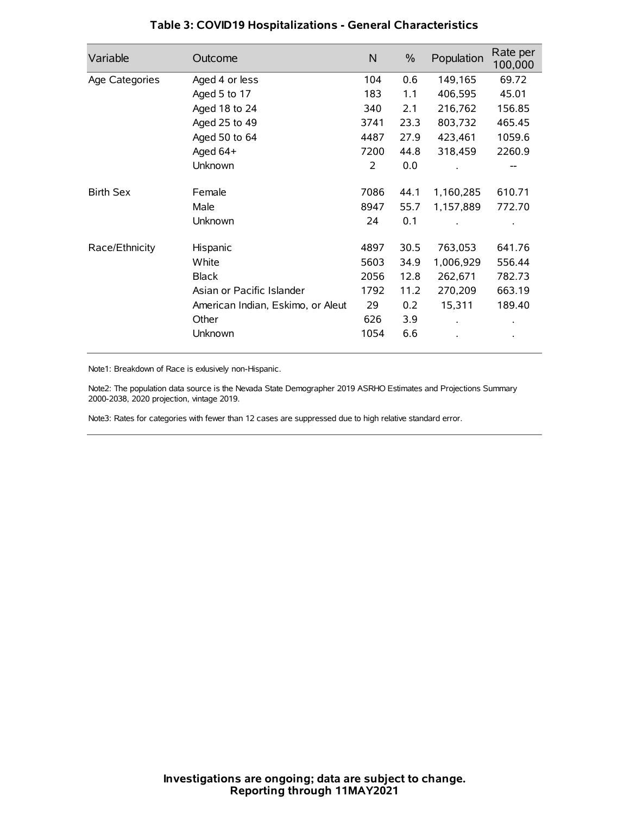| Variable         | Outcome                           | $\mathsf{N}$ | $\%$ | Population | Rate per<br>100,000 |
|------------------|-----------------------------------|--------------|------|------------|---------------------|
| Age Categories   | Aged 4 or less                    | 104          | 0.6  | 149,165    | 69.72               |
|                  | Aged 5 to 17                      | 183          | 1.1  | 406,595    | 45.01               |
|                  | Aged 18 to 24                     | 340          | 2.1  | 216,762    | 156.85              |
|                  | Aged 25 to 49                     | 3741         | 23.3 | 803,732    | 465.45              |
|                  | Aged 50 to 64                     | 4487         | 27.9 | 423,461    | 1059.6              |
|                  | Aged 64+                          | 7200         | 44.8 | 318,459    | 2260.9              |
|                  | Unknown                           | 2            | 0.0  |            | --                  |
| <b>Birth Sex</b> | Female                            | 7086         | 44.1 | 1,160,285  | 610.71              |
|                  | Male                              | 8947         | 55.7 | 1,157,889  | 772.70              |
|                  | Unknown                           | 24           | 0.1  |            |                     |
| Race/Ethnicity   | Hispanic                          | 4897         | 30.5 | 763,053    | 641.76              |
|                  | White                             | 5603         | 34.9 | 1,006,929  | 556.44              |
|                  | <b>Black</b>                      | 2056         | 12.8 | 262,671    | 782.73              |
|                  | Asian or Pacific Islander         | 1792         | 11.2 | 270,209    | 663.19              |
|                  | American Indian, Eskimo, or Aleut | 29           | 0.2  | 15,311     | 189.40              |
|                  | Other                             | 626          | 3.9  |            |                     |
|                  | Unknown                           | 1054         | 6.6  |            |                     |

## **Table 3: COVID19 Hospitalizations - General Characteristics**

Note1: Breakdown of Race is exlusively non-Hispanic.

Note2: The population data source is the Nevada State Demographer 2019 ASRHO Estimates and Projections Summary 2000-2038, 2020 projection, vintage 2019.

Note3: Rates for categories with fewer than 12 cases are suppressed due to high relative standard error.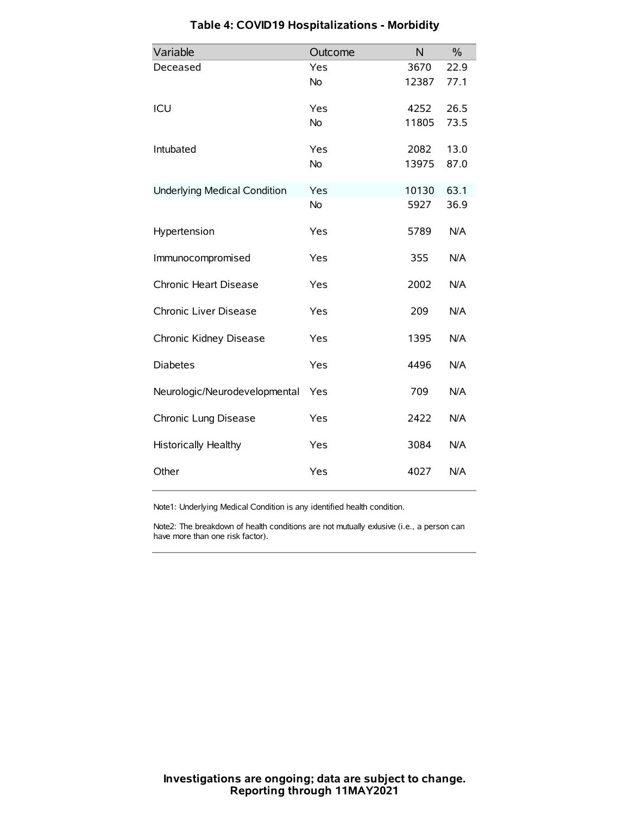| Variable                            | Outcome   | N     | $\%$ |
|-------------------------------------|-----------|-------|------|
| Deceased                            | Yes       | 3670  | 22.9 |
|                                     | <b>No</b> | 12387 | 77.1 |
| ICU                                 | Yes       | 4252  | 26.5 |
|                                     | <b>No</b> | 11805 | 73.5 |
| Intubated                           | Yes       | 2082  | 13.0 |
|                                     | <b>No</b> | 13975 | 87.0 |
| <b>Underlying Medical Condition</b> | Yes       | 10130 | 63.1 |
|                                     | No        | 5927  | 36.9 |
| Hypertension                        | Yes       | 5789  | N/A  |
| Immunocompromised                   | Yes       | 355   | N/A  |
| Chronic Heart Disease               | Yes       | 2002  | N/A  |
| Chronic Liver Disease               | Yes       | 209   | N/A  |
| Chronic Kidney Disease              | Yes       | 1395  | N/A  |
| <b>Diabetes</b>                     | Yes       | 4496  | N/A  |
| Neurologic/Neurodevelopmental       | Yes       | 709   | N/A  |
| Chronic Lung Disease                | Yes       | 2422  | N/A  |
| <b>Historically Healthy</b>         | Yes       | 3084  | N/A  |
| Other                               | Yes       | 4027  | N/A  |

# **Table 4: COVID19 Hospitalizations - Morbidity**

Note1: Underlying Medical Condition is any identified health condition.

Note2: The breakdown of health conditions are not mutually exlusive (i.e., a person can have more than one risk factor).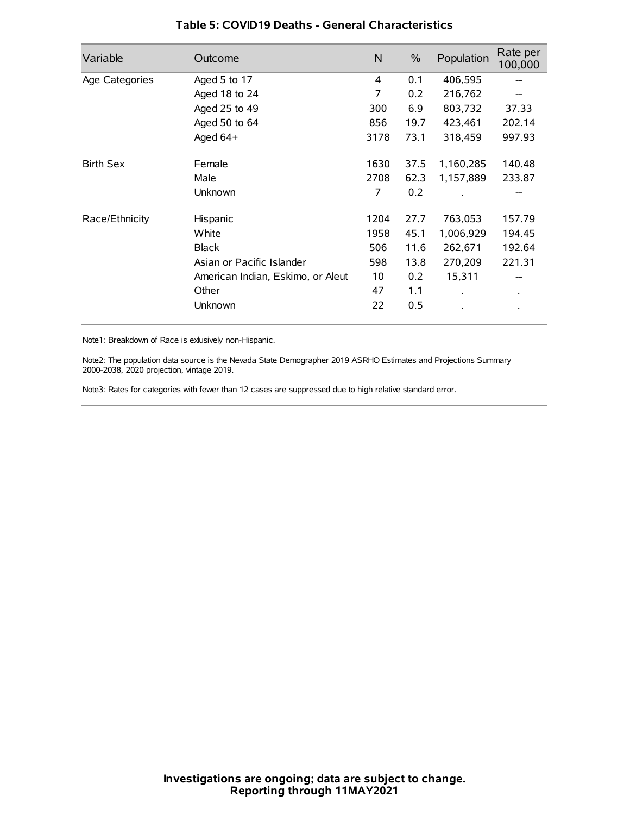| Variable         | Outcome                           | N    | $\%$ | Population           | Rate per<br>100,000 |
|------------------|-----------------------------------|------|------|----------------------|---------------------|
| Age Categories   | Aged 5 to 17                      | 4    | 0.1  | 406,595              |                     |
|                  | Aged 18 to 24                     | 7    | 0.2  | 216,762              |                     |
|                  | Aged 25 to 49                     | 300  | 6.9  | 803,732              | 37.33               |
|                  | Aged 50 to 64                     | 856  | 19.7 | 423,461              | 202.14              |
|                  | Aged 64+                          | 3178 | 73.1 | 318,459              | 997.93              |
| <b>Birth Sex</b> | Female                            | 1630 | 37.5 | 1,160,285            | 140.48              |
|                  | Male                              | 2708 | 62.3 | 1,157,889            | 233.87              |
|                  | Unknown                           | 7    | 0.2  |                      |                     |
| Race/Ethnicity   | Hispanic                          | 1204 | 27.7 | 763,053              | 157.79              |
|                  | White                             | 1958 | 45.1 | 1,006,929            | 194.45              |
|                  | <b>Black</b>                      | 506  | 11.6 | 262,671              | 192.64              |
|                  | Asian or Pacific Islander         | 598  | 13.8 | 270,209              | 221.31              |
|                  | American Indian, Eskimo, or Aleut | 10   | 0.2  | 15,311               |                     |
|                  | Other                             | 47   | 1.1  | $\ddot{\phantom{0}}$ | $\bullet$           |
|                  | Unknown                           | 22   | 0.5  |                      |                     |

## **Table 5: COVID19 Deaths - General Characteristics**

Note1: Breakdown of Race is exlusively non-Hispanic.

Note2: The population data source is the Nevada State Demographer 2019 ASRHO Estimates and Projections Summary 2000-2038, 2020 projection, vintage 2019.

Note3: Rates for categories with fewer than 12 cases are suppressed due to high relative standard error.